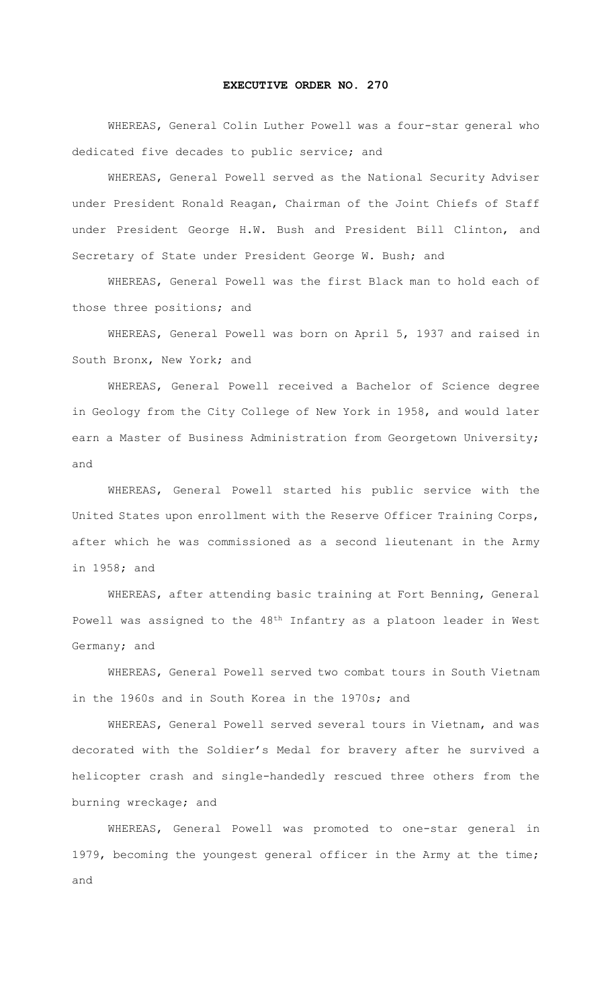## **EXECUTIVE ORDER NO. 270**

WHEREAS, General Colin Luther Powell was a four-star general who dedicated five decades to public service; and

WHEREAS, General Powell served as the National Security Adviser under President Ronald Reagan, Chairman of the Joint Chiefs of Staff under President George H.W. Bush and President Bill Clinton, and Secretary of State under President George W. Bush; and

WHEREAS, General Powell was the first Black man to hold each of those three positions; and

WHEREAS, General Powell was born on April 5, 1937 and raised in South Bronx, New York; and

WHEREAS, General Powell received a Bachelor of Science degree in Geology from the City College of New York in 1958, and would later earn a Master of Business Administration from Georgetown University; and

WHEREAS, General Powell started his public service with the United States upon enrollment with the Reserve Officer Training Corps, after which he was commissioned as a second lieutenant in the Army in 1958; and

WHEREAS, after attending basic training at Fort Benning, General Powell was assigned to the 48th Infantry as a platoon leader in West Germany; and

WHEREAS, General Powell served two combat tours in South Vietnam in the 1960s and in South Korea in the 1970s; and

WHEREAS, General Powell served several tours in Vietnam, and was decorated with the Soldier's Medal for bravery after he survived a helicopter crash and single-handedly rescued three others from the burning wreckage; and

WHEREAS, General Powell was promoted to one-star general in 1979, becoming the youngest general officer in the Army at the time; and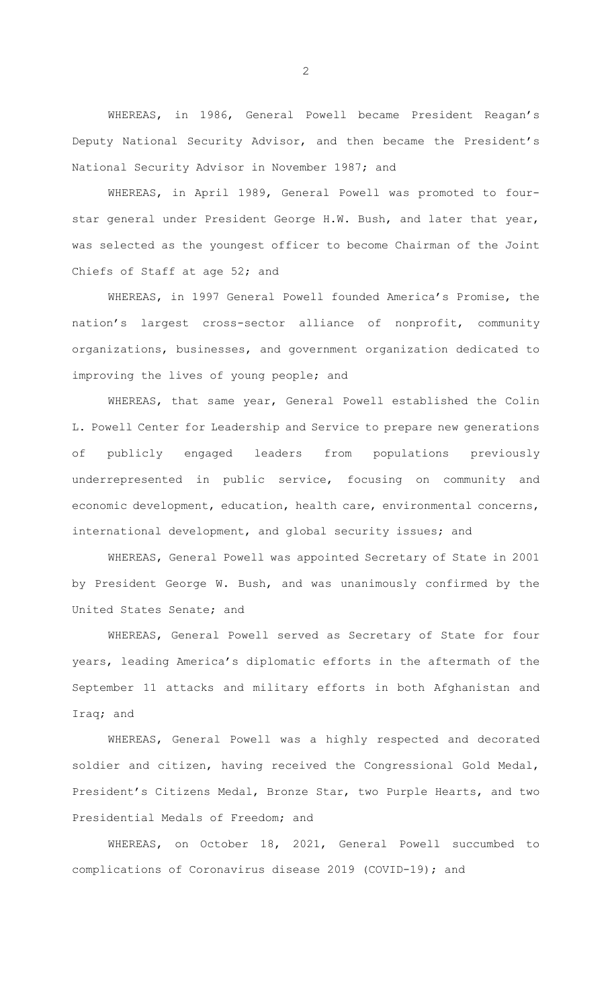WHEREAS, in 1986, General Powell became President Reagan's Deputy National Security Advisor, and then became the President's National Security Advisor in November 1987; and

WHEREAS, in April 1989, General Powell was promoted to fourstar general under President George H.W. Bush, and later that year, was selected as the youngest officer to become Chairman of the Joint Chiefs of Staff at age 52; and

WHEREAS, in 1997 General Powell founded America's Promise, the nation's largest cross-sector alliance of nonprofit, community organizations, businesses, and government organization dedicated to improving the lives of young people; and

WHEREAS, that same year, General Powell established the Colin L. Powell Center for Leadership and Service to prepare new generations of publicly engaged leaders from populations previously underrepresented in public service, focusing on community and economic development, education, health care, environmental concerns, international development, and global security issues; and

WHEREAS, General Powell was appointed Secretary of State in 2001 by President George W. Bush, and was unanimously confirmed by the United States Senate; and

WHEREAS, General Powell served as Secretary of State for four years, leading America's diplomatic efforts in the aftermath of the September 11 attacks and military efforts in both Afghanistan and Iraq; and

WHEREAS, General Powell was a highly respected and decorated soldier and citizen, having received the Congressional Gold Medal, President's Citizens Medal, Bronze Star, two Purple Hearts, and two Presidential Medals of Freedom; and

WHEREAS, on October 18, 2021, General Powell succumbed to complications of Coronavirus disease 2019 (COVID-19); and

2